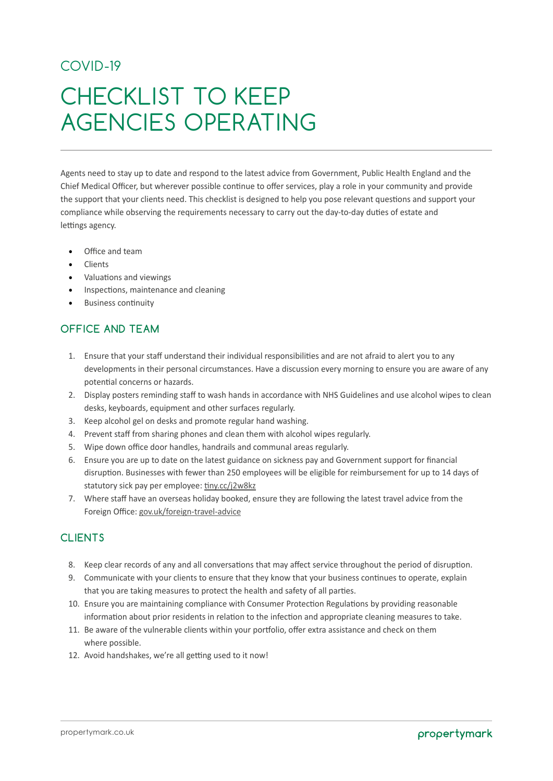## COVID-19

# CHECKLIST TO KEEP AGENCIES OPERATING

Agents need to stay up to date and respond to the latest advice from Government, Public Health England and the Chief Medical Officer, but wherever possible continue to offer services, play a role in your community and provide the support that your clients need. This checklist is designed to help you pose relevant questions and support your compliance while observing the requirements necessary to carry out the day-to-day duties of estate and lettings agency.

- Office and team
- Clients
- Valuations and viewings
- Inspections, maintenance and cleaning
- Business continuity

### **OFFICE AND TEAM**

- 1. Ensure that your staff understand their individual responsibilities and are not afraid to alert you to any developments in their personal circumstances. Have a discussion every morning to ensure you are aware of any potential concerns or hazards.
- 2. Display posters reminding staff to wash hands in accordance with NHS Guidelines and use alcohol wipes to clean desks, keyboards, equipment and other surfaces regularly.
- 3. Keep alcohol gel on desks and promote regular hand washing.
- 4. Prevent staff from sharing phones and clean them with alcohol wipes regularly.
- 5. Wipe down office door handles, handrails and communal areas regularly.
- 6. Ensure you are up to date on the latest guidance on sickness pay and Government support for financial disruption. Businesses with fewer than 250 employees will be eligible for reimbursement for up to 14 days of statutory sick pay per employee: [tiny.cc/j2w8kz](http://www.tiny.cc/j2w8kz)
- 7. Where staff have an overseas holiday booked, ensure they are following the latest travel advice from the Foreign Office: [gov.uk/foreign-travel-advice](http://www.gov.uk/foreign-travel-advice)

#### **CLIENTS**

- 8. Keep clear records of any and all conversations that may affect service throughout the period of disruption.
- 9. Communicate with your clients to ensure that they know that your business continues to operate, explain that you are taking measures to protect the health and safety of all parties.
- 10. Ensure you are maintaining compliance with Consumer Protection Regulations by providing reasonable information about prior residents in relation to the infection and appropriate cleaning measures to take.
- 11. Be aware of the vulnerable clients within your portfolio, offer extra assistance and check on them where possible.
- 12. Avoid handshakes, we're all getting used to it now!